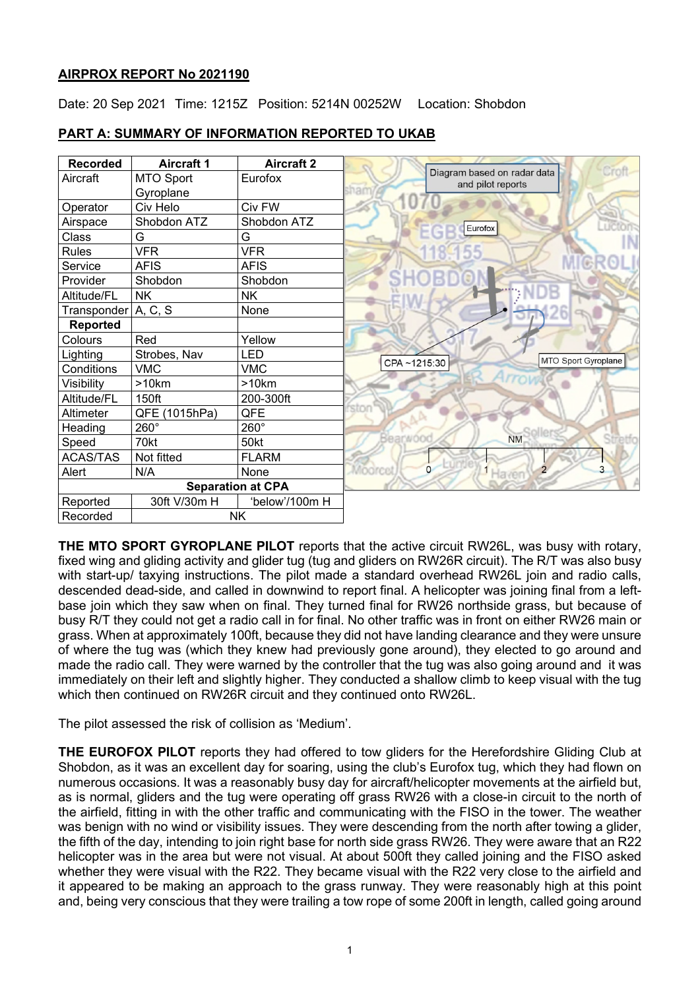## **AIRPROX REPORT No 2021190**

Date: 20 Sep 2021 Time: 1215Z Position: 5214N 00252W Location: Shobdon



## **PART A: SUMMARY OF INFORMATION REPORTED TO UKAB**

**THE MTO SPORT GYROPLANE PILOT** reports that the active circuit RW26L, was busy with rotary, fixed wing and gliding activity and glider tug (tug and gliders on RW26R circuit). The R/T was also busy with start-up/ taxying instructions. The pilot made a standard overhead RW26L join and radio calls, descended dead-side, and called in downwind to report final. A helicopter was joining final from a leftbase join which they saw when on final. They turned final for RW26 northside grass, but because of busy R/T they could not get a radio call in for final. No other traffic was in front on either RW26 main or grass. When at approximately 100ft, because they did not have landing clearance and they were unsure of where the tug was (which they knew had previously gone around), they elected to go around and made the radio call. They were warned by the controller that the tug was also going around and it was immediately on their left and slightly higher. They conducted a shallow climb to keep visual with the tug which then continued on RW26R circuit and they continued onto RW26L.

The pilot assessed the risk of collision as 'Medium'.

**THE EUROFOX PILOT** reports they had offered to tow gliders for the Herefordshire Gliding Club at Shobdon, as it was an excellent day for soaring, using the club's Eurofox tug, which they had flown on numerous occasions. It was a reasonably busy day for aircraft/helicopter movements at the airfield but, as is normal, gliders and the tug were operating off grass RW26 with a close-in circuit to the north of the airfield, fitting in with the other traffic and communicating with the FISO in the tower. The weather was benign with no wind or visibility issues. They were descending from the north after towing a glider, the fifth of the day, intending to join right base for north side grass RW26. They were aware that an R22 helicopter was in the area but were not visual. At about 500ft they called joining and the FISO asked whether they were visual with the R22. They became visual with the R22 very close to the airfield and it appeared to be making an approach to the grass runway. They were reasonably high at this point and, being very conscious that they were trailing a tow rope of some 200ft in length, called going around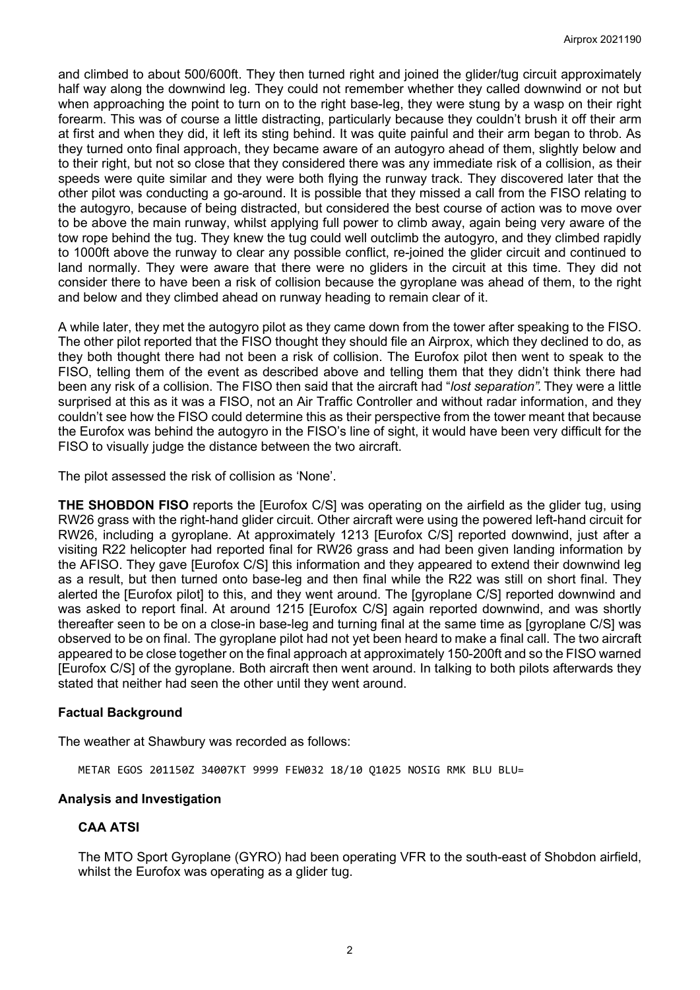and climbed to about 500/600ft. They then turned right and joined the glider/tug circuit approximately half way along the downwind leg. They could not remember whether they called downwind or not but when approaching the point to turn on to the right base-leg, they were stung by a wasp on their right forearm. This was of course a little distracting, particularly because they couldn't brush it off their arm at first and when they did, it left its sting behind. It was quite painful and their arm began to throb. As they turned onto final approach, they became aware of an autogyro ahead of them, slightly below and to their right, but not so close that they considered there was any immediate risk of a collision, as their speeds were quite similar and they were both flying the runway track. They discovered later that the other pilot was conducting a go-around. It is possible that they missed a call from the FISO relating to the autogyro, because of being distracted, but considered the best course of action was to move over to be above the main runway, whilst applying full power to climb away, again being very aware of the tow rope behind the tug. They knew the tug could well outclimb the autogyro, and they climbed rapidly to 1000ft above the runway to clear any possible conflict, re-joined the glider circuit and continued to land normally. They were aware that there were no gliders in the circuit at this time. They did not consider there to have been a risk of collision because the gyroplane was ahead of them, to the right and below and they climbed ahead on runway heading to remain clear of it.

A while later, they met the autogyro pilot as they came down from the tower after speaking to the FISO. The other pilot reported that the FISO thought they should file an Airprox, which they declined to do, as they both thought there had not been a risk of collision. The Eurofox pilot then went to speak to the FISO, telling them of the event as described above and telling them that they didn't think there had been any risk of a collision. The FISO then said that the aircraft had "*lost separation".* They were a little surprised at this as it was a FISO, not an Air Traffic Controller and without radar information, and they couldn't see how the FISO could determine this as their perspective from the tower meant that because the Eurofox was behind the autogyro in the FISO's line of sight, it would have been very difficult for the FISO to visually judge the distance between the two aircraft.

The pilot assessed the risk of collision as 'None'.

**THE SHOBDON FISO** reports the [Eurofox C/S] was operating on the airfield as the glider tug, using RW26 grass with the right-hand glider circuit. Other aircraft were using the powered left-hand circuit for RW26, including a gyroplane. At approximately 1213 [Eurofox C/S] reported downwind, just after a visiting R22 helicopter had reported final for RW26 grass and had been given landing information by the AFISO. They gave [Eurofox C/S] this information and they appeared to extend their downwind leg as a result, but then turned onto base-leg and then final while the R22 was still on short final. They alerted the [Eurofox pilot] to this, and they went around. The [gyroplane C/S] reported downwind and was asked to report final. At around 1215 [Eurofox C/S] again reported downwind, and was shortly thereafter seen to be on a close-in base-leg and turning final at the same time as [gyroplane C/S] was observed to be on final. The gyroplane pilot had not yet been heard to make a final call. The two aircraft appeared to be close together on the final approach at approximately 150-200ft and so the FISO warned [Eurofox C/S] of the gyroplane. Both aircraft then went around. In talking to both pilots afterwards they stated that neither had seen the other until they went around.

## **Factual Background**

The weather at Shawbury was recorded as follows:

METAR EGOS 201150Z 34007KT 9999 FEW032 18/10 Q1025 NOSIG RMK BLU BLU=

#### **Analysis and Investigation**

## **CAA ATSI**

The MTO Sport Gyroplane (GYRO) had been operating VFR to the south-east of Shobdon airfield, whilst the Eurofox was operating as a glider tug.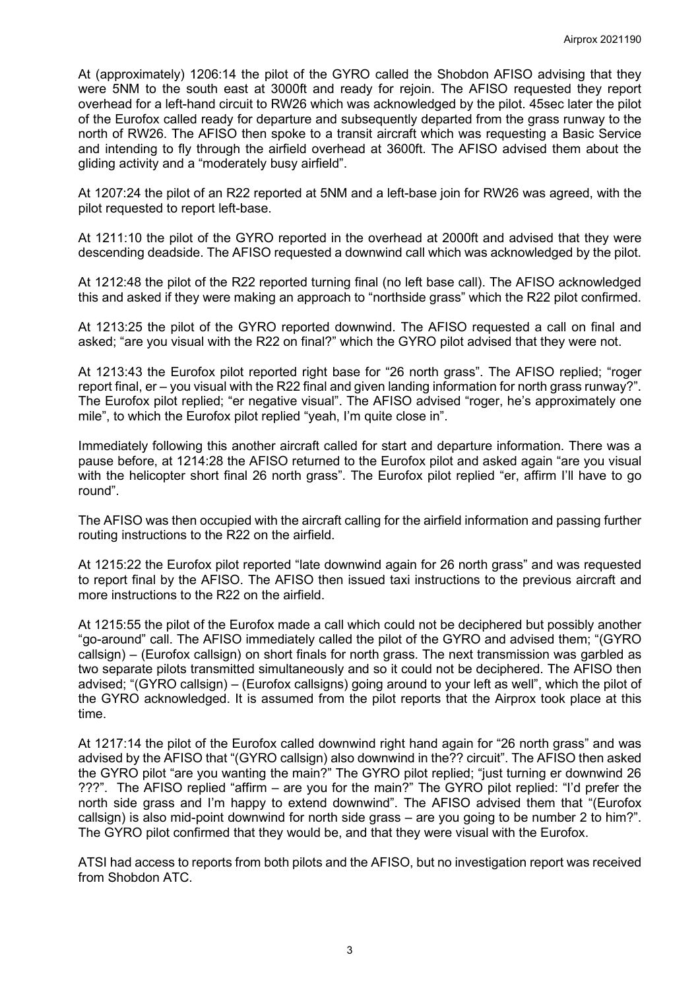At (approximately) 1206:14 the pilot of the GYRO called the Shobdon AFISO advising that they were 5NM to the south east at 3000ft and ready for rejoin. The AFISO requested they report overhead for a left-hand circuit to RW26 which was acknowledged by the pilot. 45sec later the pilot of the Eurofox called ready for departure and subsequently departed from the grass runway to the north of RW26. The AFISO then spoke to a transit aircraft which was requesting a Basic Service and intending to fly through the airfield overhead at 3600ft. The AFISO advised them about the gliding activity and a "moderately busy airfield".

At 1207:24 the pilot of an R22 reported at 5NM and a left-base join for RW26 was agreed, with the pilot requested to report left-base.

At 1211:10 the pilot of the GYRO reported in the overhead at 2000ft and advised that they were descending deadside. The AFISO requested a downwind call which was acknowledged by the pilot.

At 1212:48 the pilot of the R22 reported turning final (no left base call). The AFISO acknowledged this and asked if they were making an approach to "northside grass" which the R22 pilot confirmed.

At 1213:25 the pilot of the GYRO reported downwind. The AFISO requested a call on final and asked; "are you visual with the R22 on final?" which the GYRO pilot advised that they were not.

At 1213:43 the Eurofox pilot reported right base for "26 north grass". The AFISO replied; "roger report final, er – you visual with the R22 final and given landing information for north grass runway?". The Eurofox pilot replied; "er negative visual". The AFISO advised "roger, he's approximately one mile", to which the Eurofox pilot replied "yeah, I'm quite close in".

Immediately following this another aircraft called for start and departure information. There was a pause before, at 1214:28 the AFISO returned to the Eurofox pilot and asked again "are you visual with the helicopter short final 26 north grass". The Eurofox pilot replied "er, affirm I'll have to go round".

The AFISO was then occupied with the aircraft calling for the airfield information and passing further routing instructions to the R22 on the airfield.

At 1215:22 the Eurofox pilot reported "late downwind again for 26 north grass" and was requested to report final by the AFISO. The AFISO then issued taxi instructions to the previous aircraft and more instructions to the R22 on the airfield.

At 1215:55 the pilot of the Eurofox made a call which could not be deciphered but possibly another "go-around" call. The AFISO immediately called the pilot of the GYRO and advised them; "(GYRO callsign) – (Eurofox callsign) on short finals for north grass. The next transmission was garbled as two separate pilots transmitted simultaneously and so it could not be deciphered. The AFISO then advised; "(GYRO callsign) – (Eurofox callsigns) going around to your left as well", which the pilot of the GYRO acknowledged. It is assumed from the pilot reports that the Airprox took place at this time.

At 1217:14 the pilot of the Eurofox called downwind right hand again for "26 north grass" and was advised by the AFISO that "(GYRO callsign) also downwind in the?? circuit". The AFISO then asked the GYRO pilot "are you wanting the main?" The GYRO pilot replied; "just turning er downwind 26 ???". The AFISO replied "affirm – are you for the main?" The GYRO pilot replied: "I'd prefer the north side grass and I'm happy to extend downwind". The AFISO advised them that "(Eurofox callsign) is also mid-point downwind for north side grass – are you going to be number 2 to him?". The GYRO pilot confirmed that they would be, and that they were visual with the Eurofox.

ATSI had access to reports from both pilots and the AFISO, but no investigation report was received from Shobdon ATC.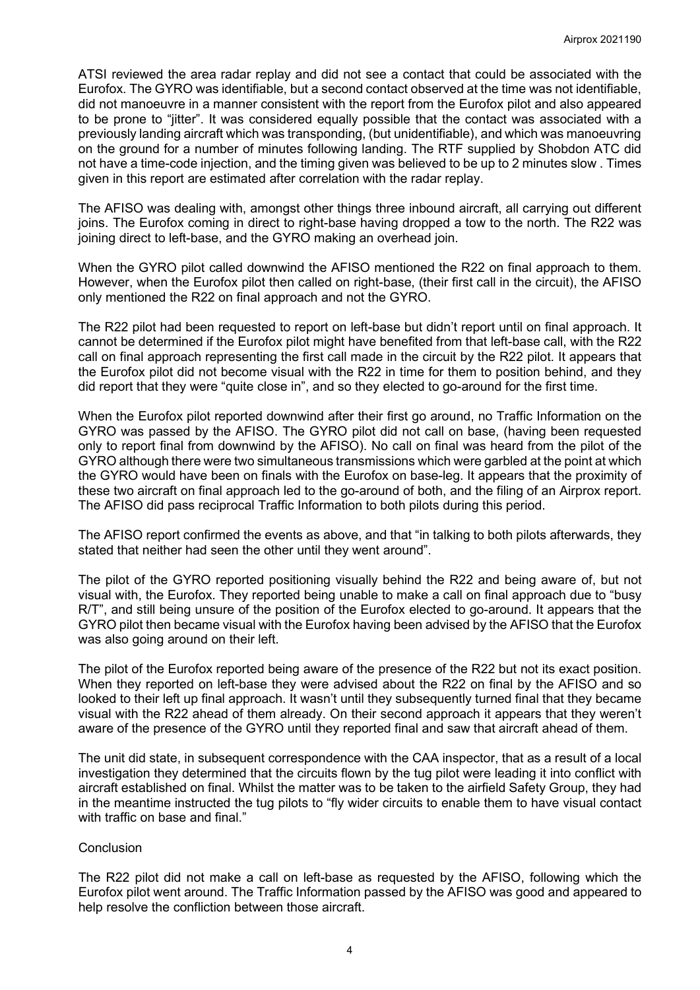ATSI reviewed the area radar replay and did not see a contact that could be associated with the Eurofox. The GYRO was identifiable, but a second contact observed at the time was not identifiable, did not manoeuvre in a manner consistent with the report from the Eurofox pilot and also appeared to be prone to "jitter". It was considered equally possible that the contact was associated with a previously landing aircraft which was transponding, (but unidentifiable), and which was manoeuvring on the ground for a number of minutes following landing. The RTF supplied by Shobdon ATC did not have a time-code injection, and the timing given was believed to be up to 2 minutes slow . Times given in this report are estimated after correlation with the radar replay.

The AFISO was dealing with, amongst other things three inbound aircraft, all carrying out different joins. The Eurofox coming in direct to right-base having dropped a tow to the north. The R22 was joining direct to left-base, and the GYRO making an overhead join.

When the GYRO pilot called downwind the AFISO mentioned the R22 on final approach to them. However, when the Eurofox pilot then called on right-base, (their first call in the circuit), the AFISO only mentioned the R22 on final approach and not the GYRO.

The R22 pilot had been requested to report on left-base but didn't report until on final approach. It cannot be determined if the Eurofox pilot might have benefited from that left-base call, with the R22 call on final approach representing the first call made in the circuit by the R22 pilot. It appears that the Eurofox pilot did not become visual with the R22 in time for them to position behind, and they did report that they were "quite close in", and so they elected to go-around for the first time.

When the Eurofox pilot reported downwind after their first go around, no Traffic Information on the GYRO was passed by the AFISO. The GYRO pilot did not call on base, (having been requested only to report final from downwind by the AFISO). No call on final was heard from the pilot of the GYRO although there were two simultaneous transmissions which were garbled at the point at which the GYRO would have been on finals with the Eurofox on base-leg. It appears that the proximity of these two aircraft on final approach led to the go-around of both, and the filing of an Airprox report. The AFISO did pass reciprocal Traffic Information to both pilots during this period.

The AFISO report confirmed the events as above, and that "in talking to both pilots afterwards, they stated that neither had seen the other until they went around".

The pilot of the GYRO reported positioning visually behind the R22 and being aware of, but not visual with, the Eurofox. They reported being unable to make a call on final approach due to "busy R/T", and still being unsure of the position of the Eurofox elected to go-around. It appears that the GYRO pilot then became visual with the Eurofox having been advised by the AFISO that the Eurofox was also going around on their left.

The pilot of the Eurofox reported being aware of the presence of the R22 but not its exact position. When they reported on left-base they were advised about the R22 on final by the AFISO and so looked to their left up final approach. It wasn't until they subsequently turned final that they became visual with the R22 ahead of them already. On their second approach it appears that they weren't aware of the presence of the GYRO until they reported final and saw that aircraft ahead of them.

The unit did state, in subsequent correspondence with the CAA inspector, that as a result of a local investigation they determined that the circuits flown by the tug pilot were leading it into conflict with aircraft established on final. Whilst the matter was to be taken to the airfield Safety Group, they had in the meantime instructed the tug pilots to "fly wider circuits to enable them to have visual contact with traffic on base and final."

#### **Conclusion**

The R22 pilot did not make a call on left-base as requested by the AFISO, following which the Eurofox pilot went around. The Traffic Information passed by the AFISO was good and appeared to help resolve the confliction between those aircraft.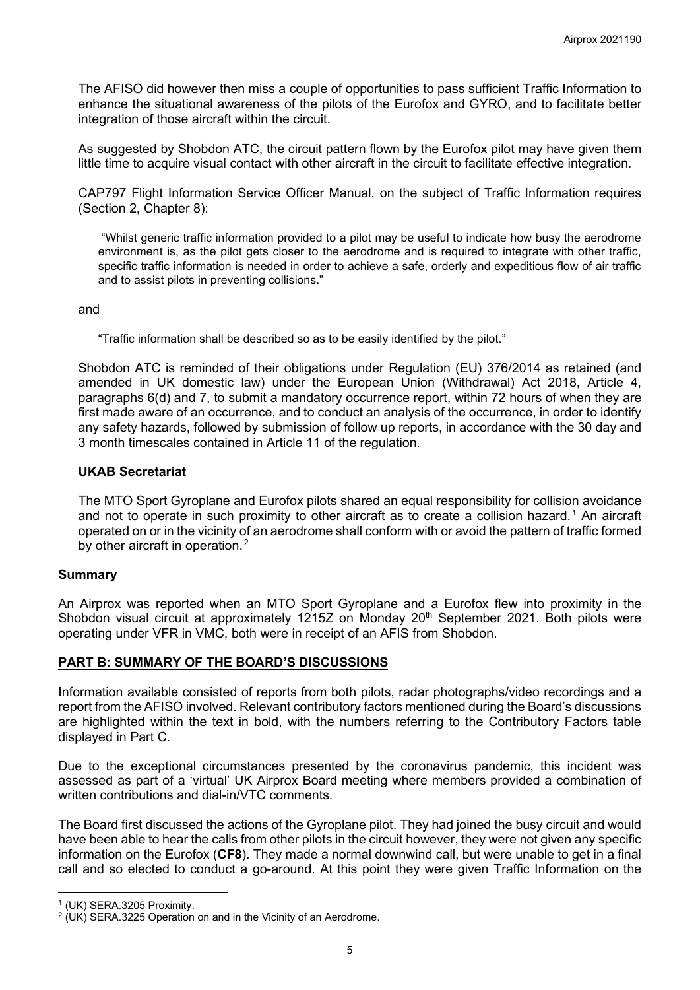The AFISO did however then miss a couple of opportunities to pass sufficient Traffic Information to enhance the situational awareness of the pilots of the Eurofox and GYRO, and to facilitate better integration of those aircraft within the circuit.

As suggested by Shobdon ATC, the circuit pattern flown by the Eurofox pilot may have given them little time to acquire visual contact with other aircraft in the circuit to facilitate effective integration.

CAP797 Flight Information Service Officer Manual, on the subject of Traffic Information requires (Section 2, Chapter 8):

"Whilst generic traffic information provided to a pilot may be useful to indicate how busy the aerodrome environment is, as the pilot gets closer to the aerodrome and is required to integrate with other traffic, specific traffic information is needed in order to achieve a safe, orderly and expeditious flow of air traffic and to assist pilots in preventing collisions."

#### and

"Traffic information shall be described so as to be easily identified by the pilot."

Shobdon ATC is reminded of their obligations under Regulation (EU) 376/2014 as retained (and amended in UK domestic law) under the European Union (Withdrawal) Act 2018, Article 4, paragraphs 6(d) and 7, to submit a mandatory occurrence report, within 72 hours of when they are first made aware of an occurrence, and to conduct an analysis of the occurrence, in order to identify any safety hazards, followed by submission of follow up reports, in accordance with the 30 day and 3 month timescales contained in Article 11 of the regulation.

## **UKAB Secretariat**

The MTO Sport Gyroplane and Eurofox pilots shared an equal responsibility for collision avoidance and not to operate in such proximity to other aircraft as to create a collision hazard.<sup>[1](#page-4-0)</sup> An aircraft operated on or in the vicinity of an aerodrome shall conform with or avoid the pattern of traffic formed by other aircraft in operation.<sup>[2](#page-4-1)</sup>

## **Summary**

An Airprox was reported when an MTO Sport Gyroplane and a Eurofox flew into proximity in the Shobdon visual circuit at approximately 1215Z on Monday 20<sup>th</sup> September 2021. Both pilots were operating under VFR in VMC, both were in receipt of an AFIS from Shobdon.

## **PART B: SUMMARY OF THE BOARD'S DISCUSSIONS**

Information available consisted of reports from both pilots, radar photographs/video recordings and a report from the AFISO involved. Relevant contributory factors mentioned during the Board's discussions are highlighted within the text in bold, with the numbers referring to the Contributory Factors table displayed in Part C.

Due to the exceptional circumstances presented by the coronavirus pandemic, this incident was assessed as part of a 'virtual' UK Airprox Board meeting where members provided a combination of written contributions and dial-in/VTC comments.

The Board first discussed the actions of the Gyroplane pilot. They had joined the busy circuit and would have been able to hear the calls from other pilots in the circuit however, they were not given any specific information on the Eurofox (**CF8**). They made a normal downwind call, but were unable to get in a final call and so elected to conduct a go-around. At this point they were given Traffic Information on the

<span id="page-4-0"></span><sup>1</sup> (UK) SERA.3205 Proximity.

<span id="page-4-1"></span> $2$  (UK) SERA.3225 Operation on and in the Vicinity of an Aerodrome.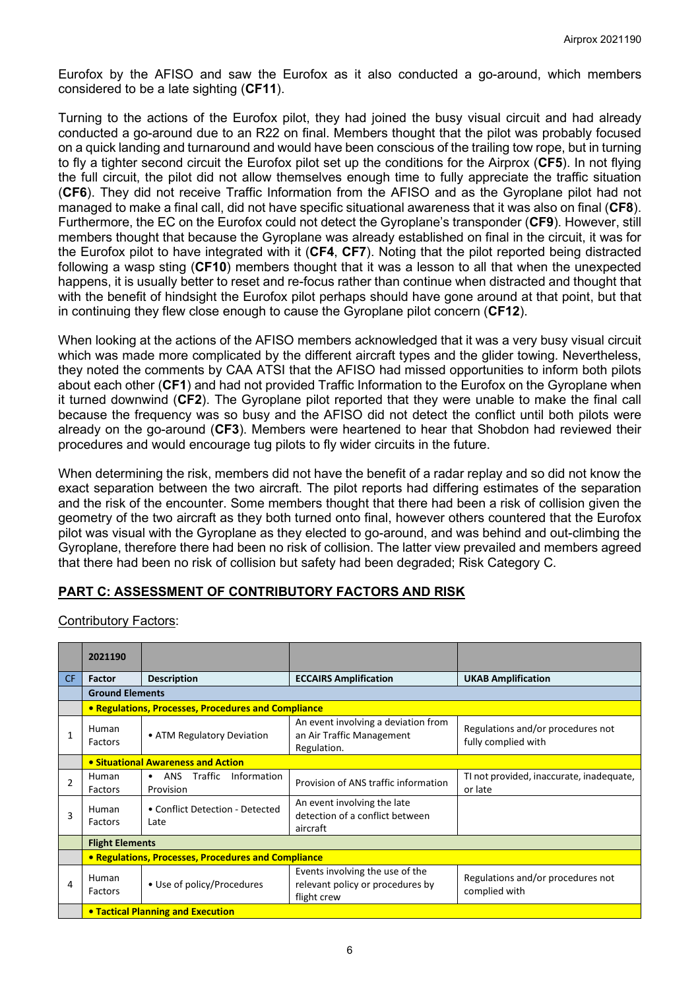Eurofox by the AFISO and saw the Eurofox as it also conducted a go-around, which members considered to be a late sighting (**CF11**).

Turning to the actions of the Eurofox pilot, they had joined the busy visual circuit and had already conducted a go-around due to an R22 on final. Members thought that the pilot was probably focused on a quick landing and turnaround and would have been conscious of the trailing tow rope, but in turning to fly a tighter second circuit the Eurofox pilot set up the conditions for the Airprox (**CF5**). In not flying the full circuit, the pilot did not allow themselves enough time to fully appreciate the traffic situation (**CF6**). They did not receive Traffic Information from the AFISO and as the Gyroplane pilot had not managed to make a final call, did not have specific situational awareness that it was also on final (**CF8**). Furthermore, the EC on the Eurofox could not detect the Gyroplane's transponder (**CF9**). However, still members thought that because the Gyroplane was already established on final in the circuit, it was for the Eurofox pilot to have integrated with it (**CF4**, **CF7**). Noting that the pilot reported being distracted following a wasp sting (**CF10**) members thought that it was a lesson to all that when the unexpected happens, it is usually better to reset and re-focus rather than continue when distracted and thought that with the benefit of hindsight the Eurofox pilot perhaps should have gone around at that point, but that in continuing they flew close enough to cause the Gyroplane pilot concern (**CF12**).

When looking at the actions of the AFISO members acknowledged that it was a very busy visual circuit which was made more complicated by the different aircraft types and the glider towing. Nevertheless, they noted the comments by CAA ATSI that the AFISO had missed opportunities to inform both pilots about each other (**CF1**) and had not provided Traffic Information to the Eurofox on the Gyroplane when it turned downwind (**CF2**). The Gyroplane pilot reported that they were unable to make the final call because the frequency was so busy and the AFISO did not detect the conflict until both pilots were already on the go-around (**CF3**). Members were heartened to hear that Shobdon had reviewed their procedures and would encourage tug pilots to fly wider circuits in the future.

When determining the risk, members did not have the benefit of a radar replay and so did not know the exact separation between the two aircraft. The pilot reports had differing estimates of the separation and the risk of the encounter. Some members thought that there had been a risk of collision given the geometry of the two aircraft as they both turned onto final, however others countered that the Eurofox pilot was visual with the Gyroplane as they elected to go-around, and was behind and out-climbing the Gyroplane, therefore there had been no risk of collision. The latter view prevailed and members agreed that there had been no risk of collision but safety had been degraded; Risk Category C.

# **PART C: ASSESSMENT OF CONTRIBUTORY FACTORS AND RISK**

#### Contributory Factors:

|                | 2021190                                  |                                                                |                                                                                    |                                                          |  |  |  |  |  |  |  |  |
|----------------|------------------------------------------|----------------------------------------------------------------|------------------------------------------------------------------------------------|----------------------------------------------------------|--|--|--|--|--|--|--|--|
| CF.            | <b>Factor</b>                            | <b>Description</b>                                             | <b>ECCAIRS Amplification</b>                                                       | <b>UKAB Amplification</b>                                |  |  |  |  |  |  |  |  |
|                |                                          | <b>Ground Elements</b>                                         |                                                                                    |                                                          |  |  |  |  |  |  |  |  |
|                |                                          | • Regulations, Processes, Procedures and Compliance            |                                                                                    |                                                          |  |  |  |  |  |  |  |  |
| 1              | Human<br>Factors                         | • ATM Regulatory Deviation                                     | An event involving a deviation from<br>an Air Traffic Management<br>Regulation.    | Regulations and/or procedures not<br>fully complied with |  |  |  |  |  |  |  |  |
|                |                                          | • Situational Awareness and Action                             |                                                                                    |                                                          |  |  |  |  |  |  |  |  |
| $\overline{2}$ | Human<br>Factors                         | Traffic<br>Information<br><b>ANS</b><br>$\bullet$<br>Provision | Provision of ANS traffic information                                               | TI not provided, inaccurate, inadequate,<br>or late      |  |  |  |  |  |  |  |  |
| 3              | Human<br>Factors                         | • Conflict Detection - Detected<br>Late                        | An event involving the late<br>detection of a conflict between<br>aircraft         |                                                          |  |  |  |  |  |  |  |  |
|                |                                          | <b>Flight Elements</b>                                         |                                                                                    |                                                          |  |  |  |  |  |  |  |  |
|                |                                          | • Regulations, Processes, Procedures and Compliance            |                                                                                    |                                                          |  |  |  |  |  |  |  |  |
| 4              | Human<br>Factors                         | • Use of policy/Procedures                                     | Events involving the use of the<br>relevant policy or procedures by<br>flight crew | Regulations and/or procedures not<br>complied with       |  |  |  |  |  |  |  |  |
|                | <b>• Tactical Planning and Execution</b> |                                                                |                                                                                    |                                                          |  |  |  |  |  |  |  |  |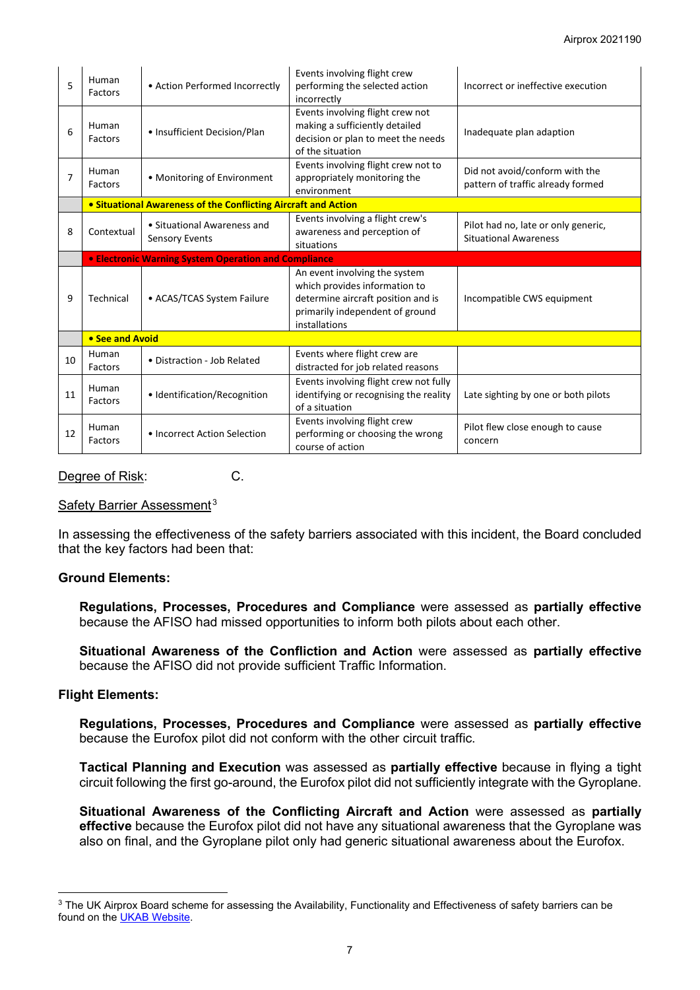| 5              | Human<br>Factors | • Action Performed Incorrectly                                 | Events involving flight crew<br>performing the selected action<br>incorrectly                                                                            | Incorrect or ineffective execution                                  |  |  |  |  |  |
|----------------|------------------|----------------------------------------------------------------|----------------------------------------------------------------------------------------------------------------------------------------------------------|---------------------------------------------------------------------|--|--|--|--|--|
| 6              | Human<br>Factors | • Insufficient Decision/Plan                                   | Events involving flight crew not<br>making a sufficiently detailed<br>decision or plan to meet the needs<br>of the situation                             | Inadequate plan adaption                                            |  |  |  |  |  |
| $\overline{7}$ | Human<br>Factors | • Monitoring of Environment                                    | Events involving flight crew not to<br>appropriately monitoring the<br>environment                                                                       | Did not avoid/conform with the<br>pattern of traffic already formed |  |  |  |  |  |
|                |                  | • Situational Awareness of the Conflicting Aircraft and Action |                                                                                                                                                          |                                                                     |  |  |  |  |  |
| 8              | Contextual       | • Situational Awareness and<br><b>Sensory Events</b>           | Events involving a flight crew's<br>awareness and perception of<br>situations                                                                            | Pilot had no, late or only generic,<br><b>Situational Awareness</b> |  |  |  |  |  |
|                |                  | • Electronic Warning System Operation and Compliance           |                                                                                                                                                          |                                                                     |  |  |  |  |  |
| 9              | Technical        | • ACAS/TCAS System Failure                                     | An event involving the system<br>which provides information to<br>determine aircraft position and is<br>primarily independent of ground<br>installations | Incompatible CWS equipment                                          |  |  |  |  |  |
|                | • See and Avoid  |                                                                |                                                                                                                                                          |                                                                     |  |  |  |  |  |
| 10             | Human<br>Factors | • Distraction - Job Related                                    | Events where flight crew are<br>distracted for job related reasons                                                                                       |                                                                     |  |  |  |  |  |
| 11             | Human<br>Factors | • Identification/Recognition                                   | Events involving flight crew not fully<br>identifying or recognising the reality<br>of a situation                                                       | Late sighting by one or both pilots                                 |  |  |  |  |  |
| 12             | Human<br>Factors | • Incorrect Action Selection                                   | Events involving flight crew<br>performing or choosing the wrong<br>course of action                                                                     | Pilot flew close enough to cause<br>concern                         |  |  |  |  |  |

#### Degree of Risk: C.

#### Safety Barrier Assessment<sup>[3](#page-6-0)</sup>

In assessing the effectiveness of the safety barriers associated with this incident, the Board concluded that the key factors had been that:

## **Ground Elements:**

**Regulations, Processes, Procedures and Compliance** were assessed as **partially effective** because the AFISO had missed opportunities to inform both pilots about each other.

**Situational Awareness of the Confliction and Action** were assessed as **partially effective** because the AFISO did not provide sufficient Traffic Information.

#### **Flight Elements:**

**Regulations, Processes, Procedures and Compliance** were assessed as **partially effective** because the Eurofox pilot did not conform with the other circuit traffic.

**Tactical Planning and Execution** was assessed as **partially effective** because in flying a tight circuit following the first go-around, the Eurofox pilot did not sufficiently integrate with the Gyroplane.

**Situational Awareness of the Conflicting Aircraft and Action** were assessed as **partially effective** because the Eurofox pilot did not have any situational awareness that the Gyroplane was also on final, and the Gyroplane pilot only had generic situational awareness about the Eurofox.

<span id="page-6-0"></span><sup>&</sup>lt;sup>3</sup> The UK Airprox Board scheme for assessing the Availability, Functionality and Effectiveness of safety barriers can be found on the [UKAB Website.](http://www.airproxboard.org.uk/Learn-more/Airprox-Barrier-Assessment/)